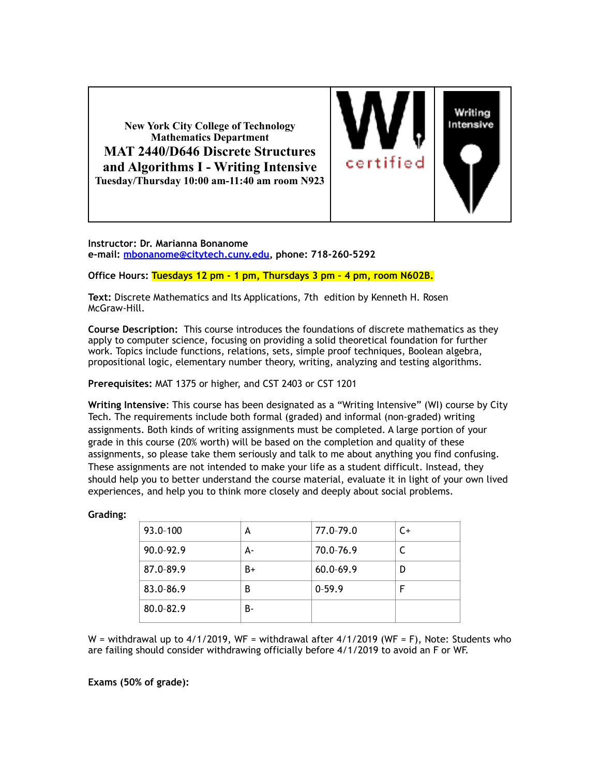**New York City College of Technology Mathematics Department MAT 2440/D646 Discrete Structures and Algorithms I - Writing Intensive Tuesday/Thursday 10:00 am-11:40 am room N923**



**Instructor: Dr. Marianna Bonanome e-mail: [mbonanome@citytech.cuny.edu,](mailto:mbonanome@citytech.cuny.edu) phone: 718-260-5292** 

### **Office Hours: Tuesdays 12 pm - 1 pm, Thursdays 3 pm – 4 pm, room N602B.**

**Text:** Discrete Mathematics and Its Applications, 7th edition by Kenneth H. Rosen McGraw-Hill.

**Course Description:** This course introduces the foundations of discrete mathematics as they apply to computer science, focusing on providing a solid theoretical foundation for further work. Topics include functions, relations, sets, simple proof techniques, Boolean algebra, propositional logic, elementary number theory, writing, analyzing and testing algorithms.

**Prerequisites:** MAT 1375 or higher, and CST 2403 or CST 1201

**Writing Intensive**: This course has been designated as a "Writing Intensive" (WI) course by City Tech. The requirements include both formal (graded) and informal (non-graded) writing assignments. Both kinds of writing assignments must be completed. A large portion of your grade in this course (20% worth) will be based on the completion and quality of these assignments, so please take them seriously and talk to me about anything you find confusing. These assignments are not intended to make your life as a student difficult. Instead, they should help you to better understand the course material, evaluate it in light of your own lived experiences, and help you to think more closely and deeply about social problems.

## **Grading:**

| 93.0-100  | А  | 77.0-79.0     | $C+$ |
|-----------|----|---------------|------|
| 90.0-92.9 | А- | 70.0-76.9     |      |
| 87.0-89.9 | B+ | $60.0 - 69.9$ | D    |
| 83.0-86.9 | В  | $0-59.9$      | F    |
| 80.0-82.9 | в- |               |      |
|           |    |               |      |

W = withdrawal up to  $4/1/2019$ , WF = withdrawal after  $4/1/2019$  (WF = F), Note: Students who are failing should consider withdrawing officially before 4/1/2019 to avoid an F or WF.

**Exams (50% of grade):**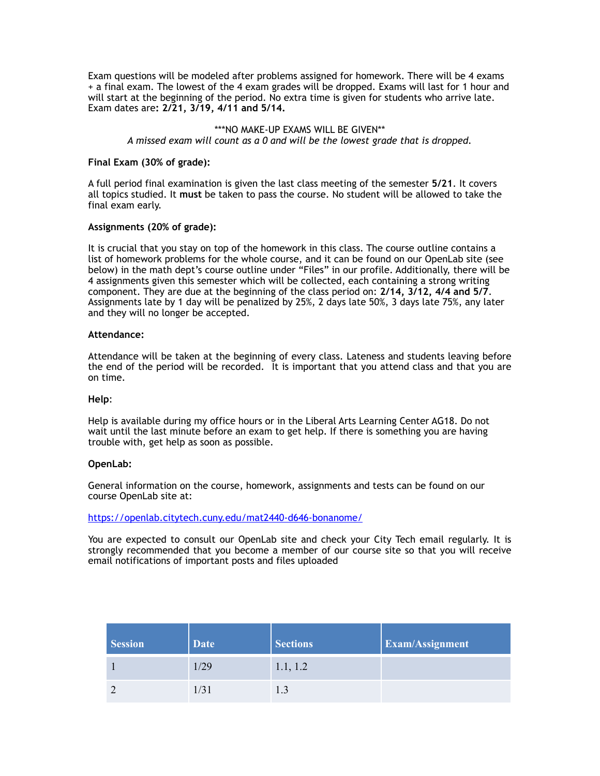Exam questions will be modeled after problems assigned for homework. There will be 4 exams + a final exam. The lowest of the 4 exam grades will be dropped. Exams will last for 1 hour and will start at the beginning of the period. No extra time is given for students who arrive late. Exam dates are**: 2/21, 3/19, 4/11 and 5/14.** 

#### \*\*\*NO MAKE-UP EXAMS WILL BE GIVEN\*\*

*A missed exam will count as a 0 and will be the lowest grade that is dropped.* 

#### **Final Exam (30% of grade):**

A full period final examination is given the last class meeting of the semester **5/21**. It covers all topics studied. It **must** be taken to pass the course. No student will be allowed to take the final exam early.

#### **Assignments (20% of grade):**

It is crucial that you stay on top of the homework in this class. The course outline contains a list of homework problems for the whole course, and it can be found on our OpenLab site (see below) in the math dept's course outline under "Files" in our profile. Additionally, there will be 4 assignments given this semester which will be collected, each containing a strong writing component. They are due at the beginning of the class period on: **2/14, 3/12, 4/4 and 5/7**. Assignments late by 1 day will be penalized by 25%, 2 days late 50%, 3 days late 75%, any later and they will no longer be accepted.

#### **Attendance:**

Attendance will be taken at the beginning of every class. Lateness and students leaving before the end of the period will be recorded. It is important that you attend class and that you are on time.

#### **Help**:

Help is available during my office hours or in the Liberal Arts Learning Center AG18. Do not wait until the last minute before an exam to get help. If there is something you are having trouble with, get help as soon as possible.

#### **OpenLab:**

General information on the course, homework, assignments and tests can be found on our course OpenLab site at:

<https://openlab.citytech.cuny.edu/mat2440-d646-bonanome/>

You are expected to consult our OpenLab site and check your City Tech email regularly. It is strongly recommended that you become a member of our course site so that you will receive email notifications of important posts and files uploaded

| <b>Session</b> | <b>Date</b> | <b>Sections</b> | <b>Exam/Assignment</b> |
|----------------|-------------|-----------------|------------------------|
|                | 1/29        | 1.1, 1.2        |                        |
|                | 1/31        | 1.3             |                        |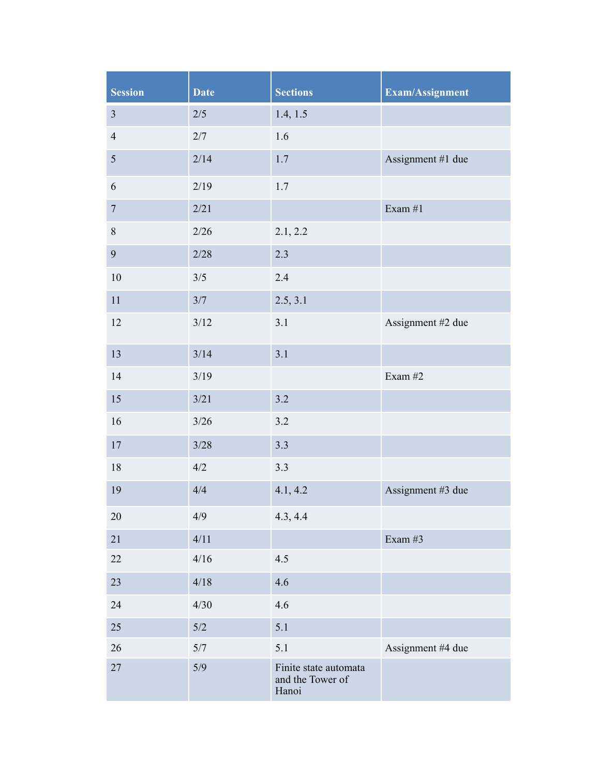| <b>Session</b>   | <b>Date</b> | <b>Sections</b>                                    | Exam/Assignment   |
|------------------|-------------|----------------------------------------------------|-------------------|
| $\overline{3}$   | $2/5$       | 1.4, 1.5                                           |                   |
| $\overline{4}$   | 2/7         | 1.6                                                |                   |
| $\sqrt{5}$       | 2/14        | $1.7\,$                                            | Assignment #1 due |
| 6                | 2/19        | 1.7                                                |                   |
| $\boldsymbol{7}$ | 2/21        |                                                    | Exam $#1$         |
| $8\,$            | 2/26        | 2.1, 2.2                                           |                   |
| 9                | 2/28        | 2.3                                                |                   |
| 10               | 3/5         | 2.4                                                |                   |
| 11               | 3/7         | 2.5, 3.1                                           |                   |
| 12               | $3/12$      | 3.1                                                | Assignment #2 due |
| 13               | 3/14        | 3.1                                                |                   |
| 14               | 3/19        |                                                    | Exam $#2$         |
| 15               | 3/21        | 3.2                                                |                   |
| 16               | 3/26        | $3.2$                                              |                   |
| $17\,$           | $3/28$      | 3.3                                                |                   |
| $18\,$           | 4/2         | $3.3$                                              |                   |
| 19               | 4/4         | 4.1, 4.2                                           | Assignment #3 due |
| 20               | 4/9         | 4.3, 4.4                                           |                   |
| 21               | 4/11        |                                                    | Exam #3           |
| 22               | 4/16        | 4.5                                                |                   |
| 23               | 4/18        | 4.6                                                |                   |
| 24               | 4/30        | 4.6                                                |                   |
| 25               | $5/2$       | 5.1                                                |                   |
| 26               | 5/7         | 5.1                                                | Assignment #4 due |
| 27               | 5/9         | Finite state automata<br>and the Tower of<br>Hanoi |                   |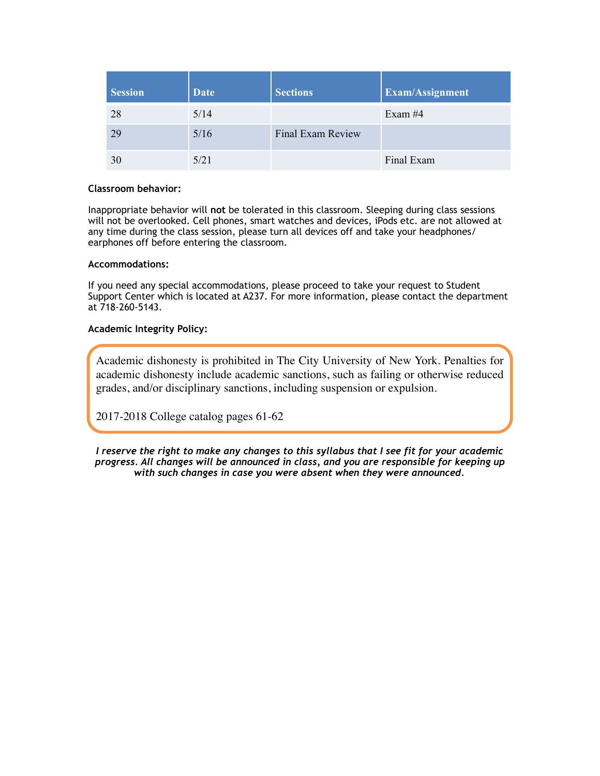| <b>Session</b> | <b>Date</b> | <b>Sections</b>   | <b>Exam/Assignment</b> |
|----------------|-------------|-------------------|------------------------|
| 28             | 5/14        |                   | Exam $#4$              |
| 29             | 5/16        | Final Exam Review |                        |
| 30             | 5/21        |                   | Final Exam             |

## **Classroom behavior:**

Inappropriate behavior will **not** be tolerated in this classroom. Sleeping during class sessions will not be overlooked. Cell phones, smart watches and devices, iPods etc. are not allowed at any time during the class session, please turn all devices off and take your headphones/ earphones off before entering the classroom.

#### **Accommodations:**

If you need any special accommodations, please proceed to take your request to Student Support Center which is located at A237. For more information, please contact the department at 718-260-5143.

## **Academic Integrity Policy:**

Academic dishonesty is prohibited in The City University of New York. Penalties for academic dishonesty include academic sanctions, such as failing or otherwise reduced grades, and/or disciplinary sanctions, including suspension or expulsion.

2017-2018 College catalog pages 61-62

*I reserve the right to make any changes to this syllabus that I see fit for your academic progress. All changes will be announced in class, and you are responsible for keeping up with such changes in case you were absent when they were announced.*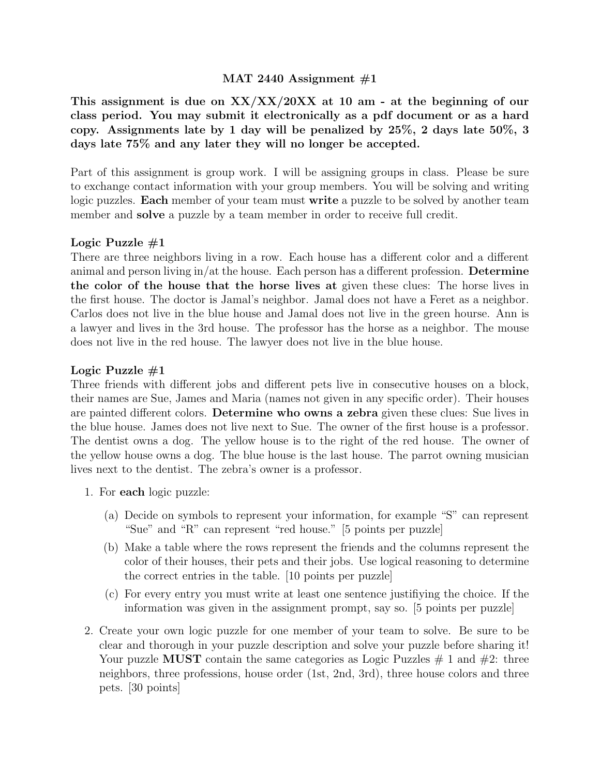# MAT 2440 Assignment  $#1$

This assignment is due on  $XX/XX/20XX$  at 10 am - at the beginning of our class period. You may submit it electronically as a pdf document or as a hard copy. Assignments late by 1 day will be penalized by 25%, 2 days late 50%, 3 days late 75% and any later they will no longer be accepted.

Part of this assignment is group work. I will be assigning groups in class. Please be sure to exchange contact information with your group members. You will be solving and writing logic puzzles. **Each** member of your team must **write** a puzzle to be solved by another team member and **solve** a puzzle by a team member in order to receive full credit.

# Logic Puzzle  $\#1$

There are three neighbors living in a row. Each house has a different color and a different animal and person living in/at the house. Each person has a different profession. **Determine** the color of the house that the horse lives at given these clues: The horse lives in the first house. The doctor is Jamal's neighbor. Jamal does not have a Feret as a neighbor. Carlos does not live in the blue house and Jamal does not live in the green hourse. Ann is a lawyer and lives in the 3rd house. The professor has the horse as a neighbor. The mouse does not live in the red house. The lawyer does not live in the blue house.

# Logic Puzzle  $#1$

Three friends with different jobs and different pets live in consecutive houses on a block, their names are Sue, James and Maria (names not given in any specific order). Their houses are painted different colors. Determine who owns a zebra given these clues: Sue lives in the blue house. James does not live next to Sue. The owner of the first house is a professor. The dentist owns a dog. The yellow house is to the right of the red house. The owner of the yellow house owns a dog. The blue house is the last house. The parrot owning musician lives next to the dentist. The zebra's owner is a professor.

- 1. For each logic puzzle:
	- (a) Decide on symbols to represent your information, for example "S" can represent "Sue" and "R" can represent "red house." [5 points per puzzle]
	- (b) Make a table where the rows represent the friends and the columns represent the color of their houses, their pets and their jobs. Use logical reasoning to determine the correct entries in the table. [10 points per puzzle]
	- (c) For every entry you must write at least one sentence justifiying the choice. If the information was given in the assignment prompt, say so. [5 points per puzzle]
- 2. Create your own logic puzzle for one member of your team to solve. Be sure to be clear and thorough in your puzzle description and solve your puzzle before sharing it! Your puzzle MUST contain the same categories as Logic Puzzles  $\#$  1 and  $\#2$ : three neighbors, three professions, house order (1st, 2nd, 3rd), three house colors and three pets. [30 points]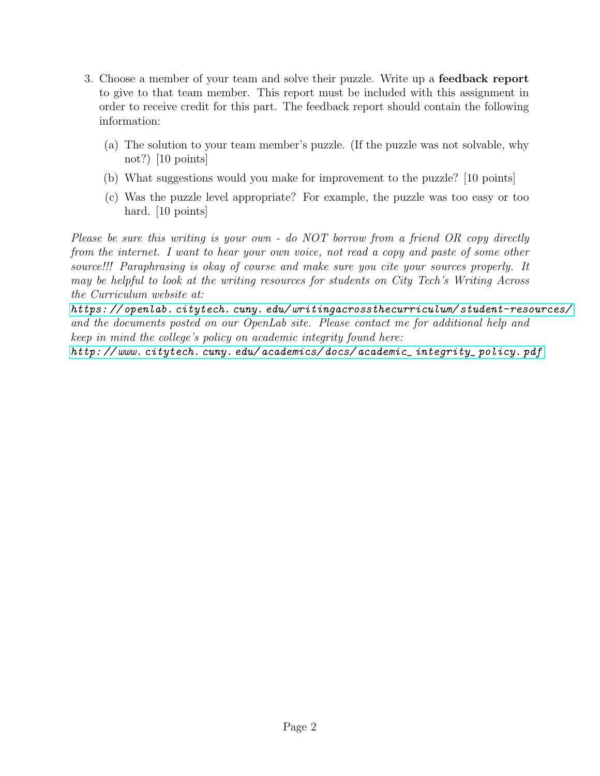- 3. Choose a member of your team and solve their puzzle. Write up a feedback report to give to that team member. This report must be included with this assignment in order to receive credit for this part. The feedback report should contain the following information:
	- (a) The solution to your team member's puzzle. (If the puzzle was not solvable, why not?)  $|10 \text{ points}|$
	- (b) What suggestions would you make for improvement to the puzzle? [10 points]
	- (c) Was the puzzle level appropriate? For example, the puzzle was too easy or too hard. [10 points]

Please be sure this writing is your own - do NOT borrow from a friend OR copy directly from the internet. I want to hear your own voice, not read a copy and paste of some other source!!! Paraphrasing is okay of course and make sure you cite your sources properly. It may be helpful to look at the writing resources for students on City Tech's Writing Across the Curriculum website at:

[https: // openlab. citytech. cuny. edu/ writingacrossthecurriculum/ student-resources/](https://openlab.citytech.cuny.edu/writingacrossthecurriculum/student-resources/) and the documents posted on our OpenLab site. Please contact me for additional help and keep in mind the college's policy on academic integrity found here:

[http: // www. citytech. cuny. edu/ academics/ docs/ academic\\_ integrity\\_ policy. pdf](http://www.citytech.cuny.edu/academics/docs/academic_integrity_policy.pdf)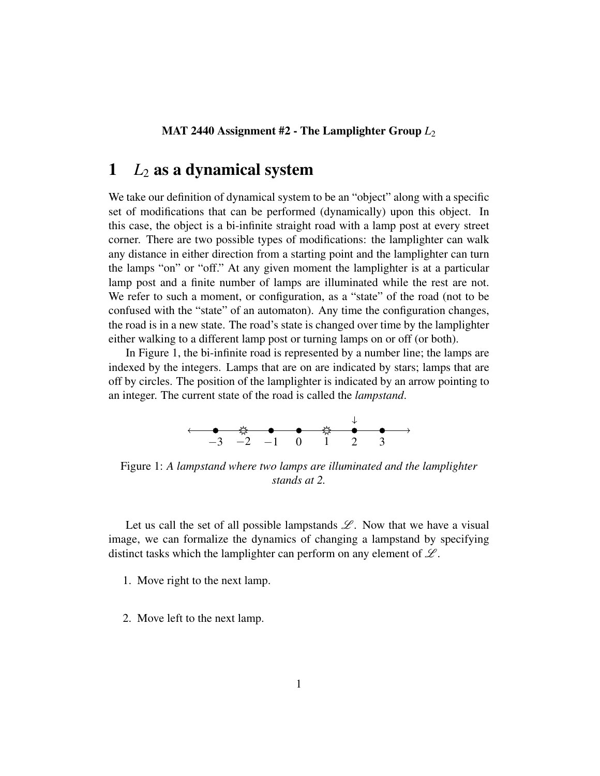MAT 2440 Assignment #2 - The Lamplighter Group *L*<sup>2</sup>

# 1  $L_2$  as a dynamical system

We take our definition of dynamical system to be an "object" along with a specific set of modifications that can be performed (dynamically) upon this object. In this case, the object is a bi-infinite straight road with a lamp post at every street corner. There are two possible types of modifications: the lamplighter can walk any distance in either direction from a starting point and the lamplighter can turn the lamps "on" or "off." At any given moment the lamplighter is at a particular lamp post and a finite number of lamps are illuminated while the rest are not. We refer to such a moment, or configuration, as a "state" of the road (not to be confused with the "state" of an automaton). Any time the configuration changes, the road is in a new state. The road's state is changed over time by the lamplighter either walking to a different lamp post or turning lamps on or off (or both).

In Figure 1, the bi-infinite road is represented by a number line; the lamps are indexed by the integers. Lamps that are on are indicated by stars; lamps that are off by circles. The position of the lamplighter is indicated by an arrow pointing to an integer. The current state of the road is called the *lampstand*.



Figure 1: *A lampstand where two lamps are illuminated and the lamplighter stands at 2.*

Let us call the set of all possible lampstands  $\mathscr{L}$ . Now that we have a visual image, we can formalize the dynamics of changing a lampstand by specifying distinct tasks which the lamplighter can perform on any element of  $\mathscr{L}$ .

1. Move right to the next lamp.

2. Move left to the next lamp.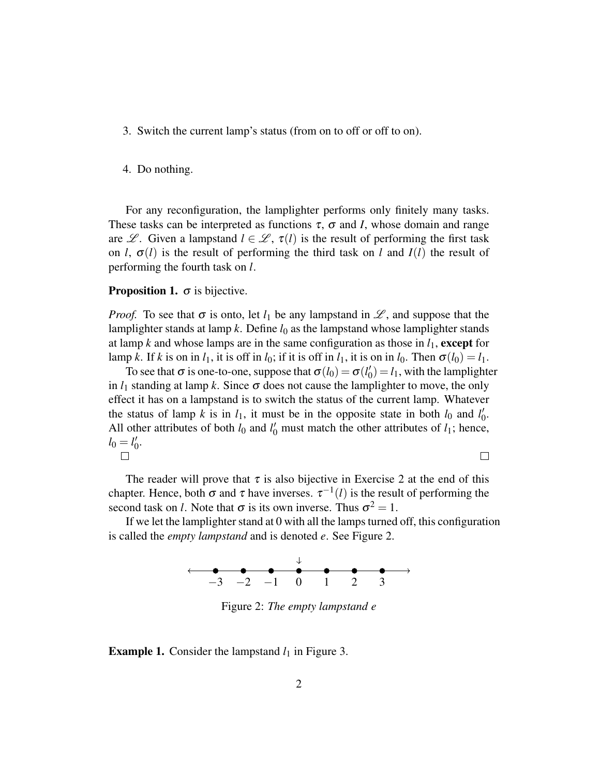- 3. Switch the current lamp's status (from on to off or off to on).
- 4. Do nothing.

For any reconfiguration, the lamplighter performs only finitely many tasks. These tasks can be interpreted as functions  $\tau$ ,  $\sigma$  and *I*, whose domain and range are L. Given a lampstand  $l \in \mathcal{L}$ ,  $\tau(l)$  is the result of performing the first task on *l*,  $\sigma(l)$  is the result of performing the third task on *l* and  $I(l)$  the result of performing the fourth task on *l*.

#### **Proposition 1.**  $\sigma$  is bijective.

*Proof.* To see that  $\sigma$  is onto, let  $l_1$  be any lampstand in  $\mathcal{L}$ , and suppose that the lamplighter stands at lamp  $k$ . Define  $l_0$  as the lampstand whose lamplighter stands at lamp *k* and whose lamps are in the same configuration as those in  $l_1$ , except for lamp *k*. If *k* is on in  $l_1$ , it is off in  $l_0$ ; if it is off in  $l_1$ , it is on in  $l_0$ . Then  $\sigma(l_0) = l_1$ .

To see that  $\sigma$  is one-to-one, suppose that  $\sigma(l_0) = \sigma(l_0')$  $\binom{1}{0} = l_1$ , with the lamplighter in  $l_1$  standing at lamp k. Since  $\sigma$  does not cause the lamplighter to move, the only effect it has on a lampstand is to switch the status of the current lamp. Whatever the status of lamp *k* is in  $l_1$ , it must be in the opposite state in both  $l_0$  and  $l'_0$ ,<br>0. All other attributes of both  $l_0$  and  $l'_0$  must match the other attributes of  $l_1$ ; hence,  $l_0 = l_0'$  $\rlap{0}^{\prime}$  $\Box$  $\Box$ 

The reader will prove that  $\tau$  is also bijective in Exercise 2 at the end of this chapter. Hence, both  $\sigma$  and  $\tau$  have inverses.  $\tau^{-1}(l)$  is the result of performing the second task on *l*. Note that  $\sigma$  is its own inverse. Thus  $\sigma^2 = 1$ .

If we let the lamplighter stand at 0 with all the lamps turned off, this configuration is called the *empty lampstand* and is denoted *e*. See Figure 2.



Figure 2: *The empty lampstand e*

**Example 1.** Consider the lampstand  $l_1$  in Figure 3.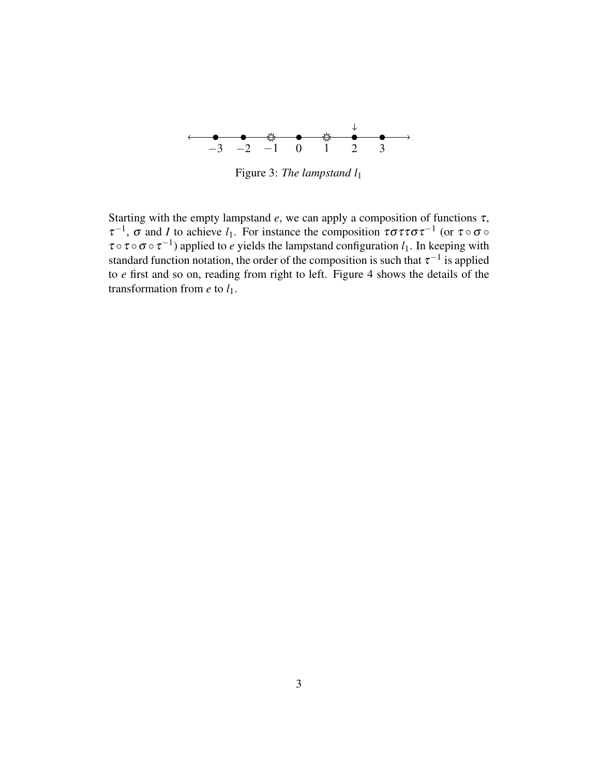

Figure 3: *The lampstand l*<sup>1</sup>

Starting with the empty lampstand  $e$ , we can apply a composition of functions  $\tau$ ,  $τ^{-1}$ , σ and *I* to achieve *l*<sub>1</sub>. For instance the composition  $τσττστ^{-1}$  (or  $τ ∘ σ ∘$  $\tau \circ \tau \circ \sigma \circ \tau^{-1}$ ) applied to *e* yields the lampstand configuration  $l_1$ . In keeping with standard function notation, the order of the composition is such that  $\tau^{-1}$  is applied to *e* first and so on, reading from right to left. Figure 4 shows the details of the transformation from  $e$  to  $l_1$ .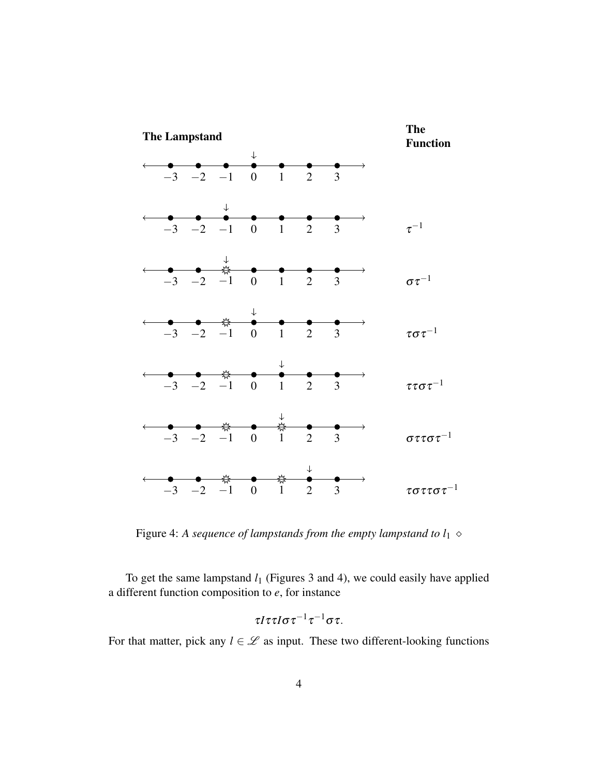

Figure 4: A sequence of lampstands from the empty lampstand to  $l_1 \diamond$ 

To get the same lampstand  $l_1$  (Figures 3 and 4), we could easily have applied a different function composition to *e*, for instance

$$
\tau I \tau \tau I \sigma \tau^{-1} \tau^{-1} \sigma \tau.
$$

For that matter, pick any  $l \in \mathcal{L}$  as input. These two different-looking functions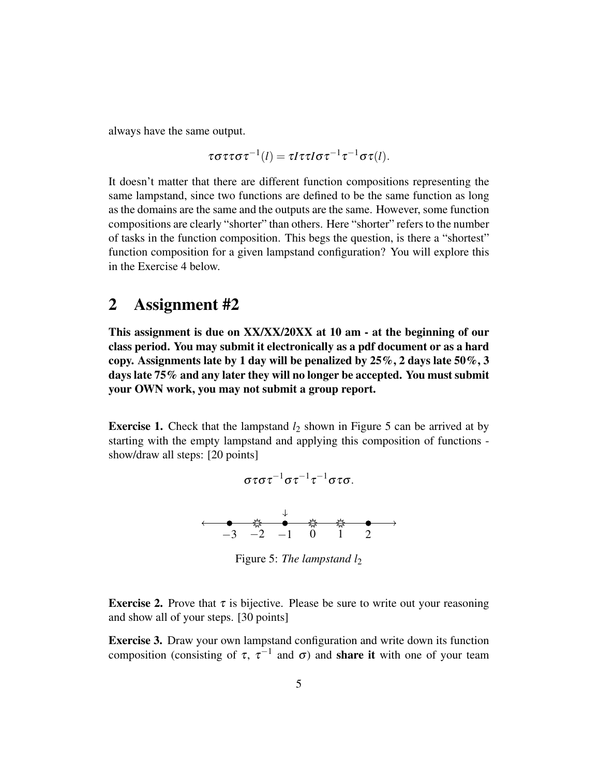always have the same output.

$$
\tau \sigma \tau \tau \sigma \tau^{-1}(l) = \tau l \tau \tau l \sigma \tau^{-1} \tau^{-1} \sigma \tau(l).
$$

It doesn't matter that there are different function compositions representing the same lampstand, since two functions are defined to be the same function as long as the domains are the same and the outputs are the same. However, some function compositions are clearly "shorter" than others. Here "shorter" refers to the number of tasks in the function composition. This begs the question, is there a "shortest" function composition for a given lampstand configuration? You will explore this in the Exercise 4 below.

# 2 Assignment #2

This assignment is due on XX/XX/20XX at 10 am - at the beginning of our class period. You may submit it electronically as a pdf document or as a hard copy. Assignments late by 1 day will be penalized by  $25\%, 2$  days late  $50\%, 3$ days late 75% and any later they will no longer be accepted. You must submit your OWN work, you may not submit a group report.

**Exercise 1.** Check that the lampstand  $l_2$  shown in Figure 5 can be arrived at by starting with the empty lampstand and applying this composition of functions show/draw all steps: [20 points]



Figure 5: *The lampstand l*<sup>2</sup>

**Exercise 2.** Prove that  $\tau$  is bijective. Please be sure to write out your reasoning and show all of your steps. [30 points]

Exercise 3. Draw your own lampstand configuration and write down its function composition (consisting of  $\tau$ ,  $\tau^{-1}$  and  $\sigma$ ) and **share it** with one of your team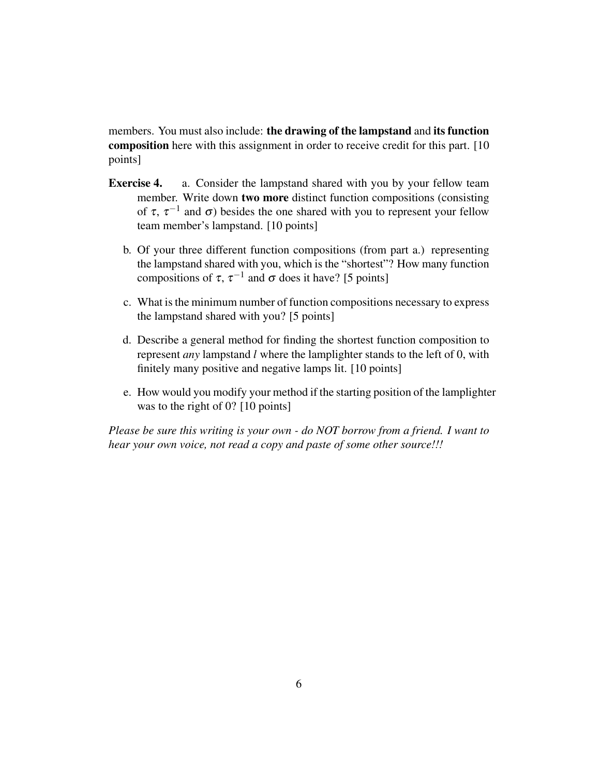members. You must also include: the drawing of the lampstand and its function composition here with this assignment in order to receive credit for this part. [10 points]

- **Exercise 4.** a. Consider the lampstand shared with you by your fellow team member. Write down two more distinct function compositions (consisting of  $\tau$ ,  $\tau^{-1}$  and  $\sigma$ ) besides the one shared with you to represent your fellow team member's lampstand. [10 points]
	- b. Of your three different function compositions (from part a.) representing the lampstand shared with you, which is the "shortest"? How many function compositions of  $\tau$ ,  $\tau^{-1}$  and  $\sigma$  does it have? [5 points]
	- c. What is the minimum number of function compositions necessary to express the lampstand shared with you? [5 points]
	- d. Describe a general method for finding the shortest function composition to represent *any* lampstand *l* where the lamplighter stands to the left of 0, with finitely many positive and negative lamps lit. [10 points]
	- e. How would you modify your method if the starting position of the lamplighter was to the right of 0? [10 points]

*Please be sure this writing is your own - do NOT borrow from a friend. I want to hear your own voice, not read a copy and paste of some other source!!!*